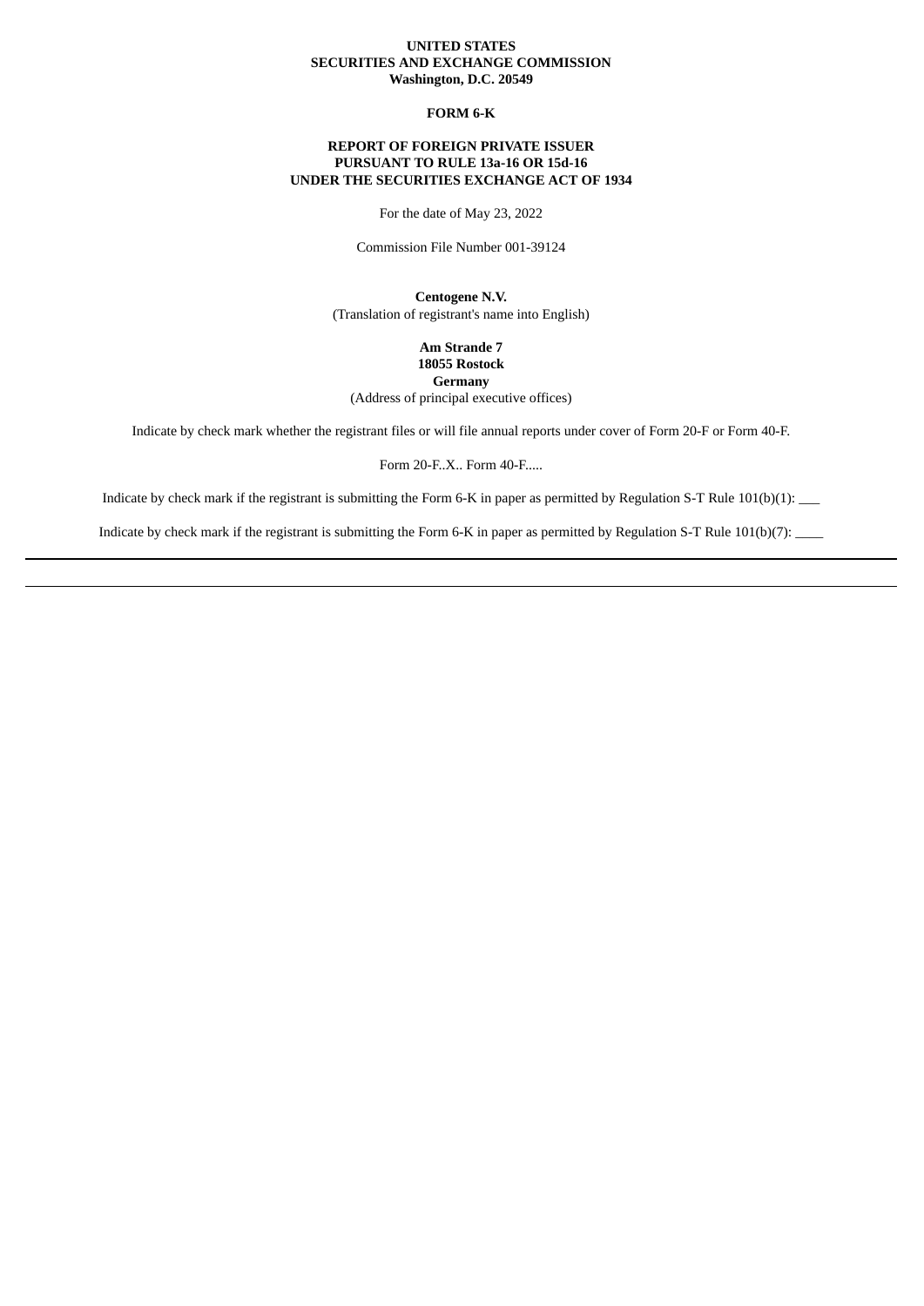### **UNITED STATES SECURITIES AND EXCHANGE COMMISSION Washington, D.C. 20549**

### **FORM 6-K**

### **REPORT OF FOREIGN PRIVATE ISSUER PURSUANT TO RULE 13a-16 OR 15d-16 UNDER THE SECURITIES EXCHANGE ACT OF 1934**

For the date of May 23, 2022

Commission File Number 001-39124

**Centogene N.V.** (Translation of registrant's name into English)

> **Am Strande 7 18055 Rostock Germany**

(Address of principal executive offices)

Indicate by check mark whether the registrant files or will file annual reports under cover of Form 20-F or Form 40-F.

Form 20-F..X.. Form 40-F.....

Indicate by check mark if the registrant is submitting the Form 6-K in paper as permitted by Regulation S-T Rule 101(b)(1): \_\_

Indicate by check mark if the registrant is submitting the Form 6-K in paper as permitted by Regulation S-T Rule 101(b)(7):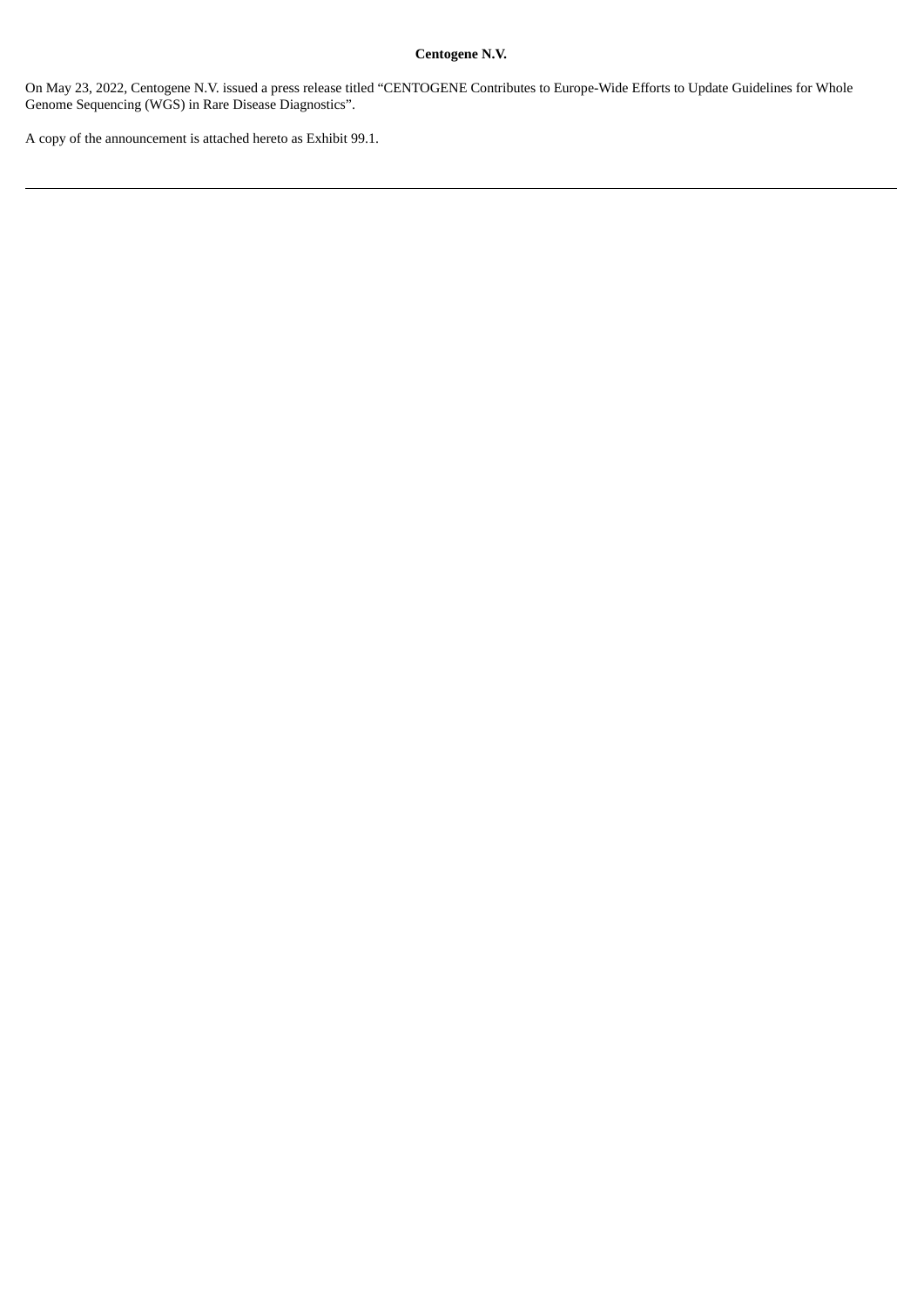### **Centogene N.V.**

On May 23, 2022, Centogene N.V. issued a press release titled "CENTOGENE Contributes to Europe-Wide Efforts to Update Guidelines for Whole Genome Sequencing (WGS) in Rare Disease Diagnostics".

A copy of the announcement is attached hereto as Exhibit 99.1.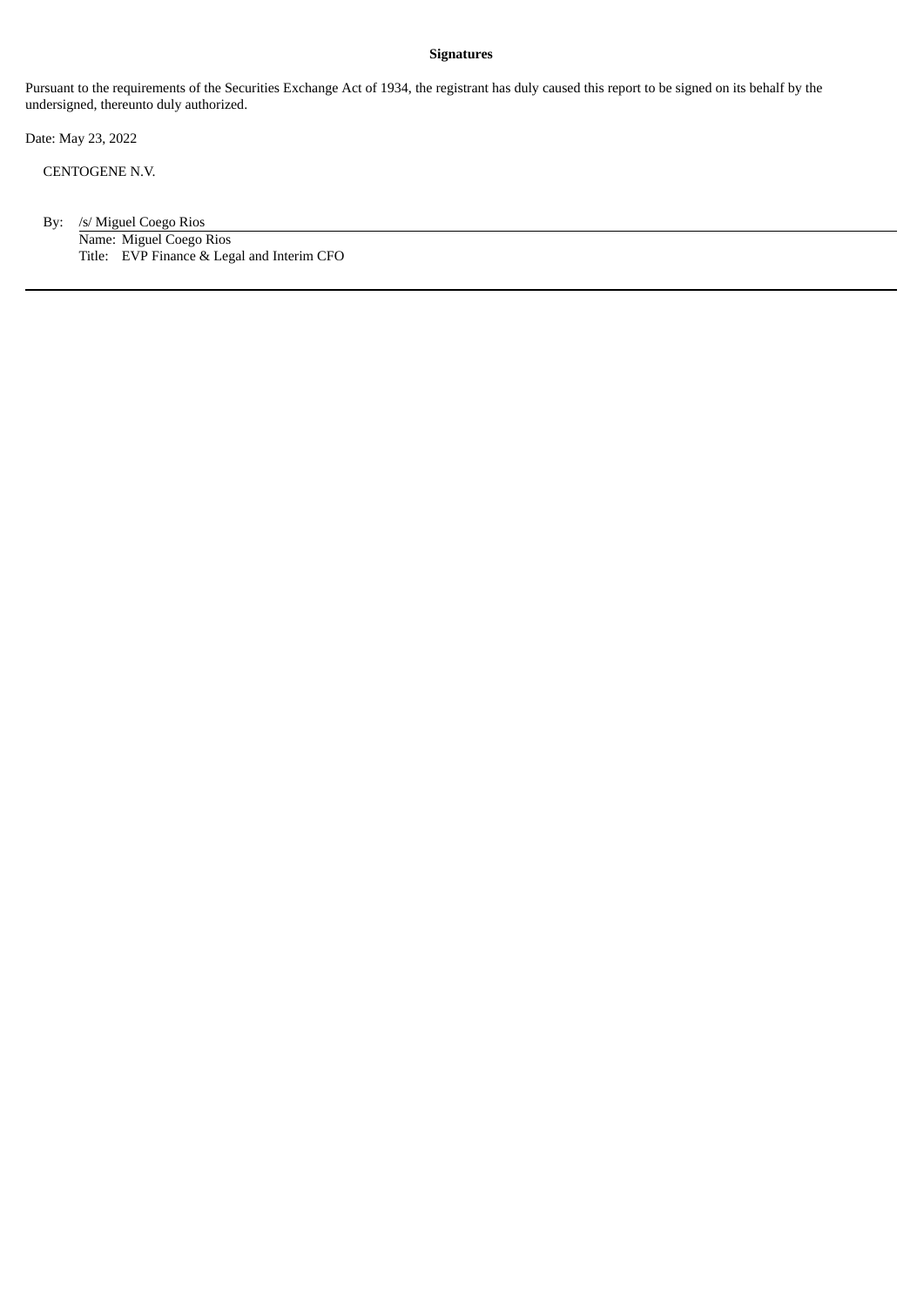### **Signatures**

Pursuant to the requirements of the Securities Exchange Act of 1934, the registrant has duly caused this report to be signed on its behalf by the undersigned, thereunto duly authorized.

Date: May 23, 2022

CENTOGENE N.V.

By: /s/ Miguel Coego Rios Name: Miguel Coego Rios Title: EVP Finance & Legal and Interim CFO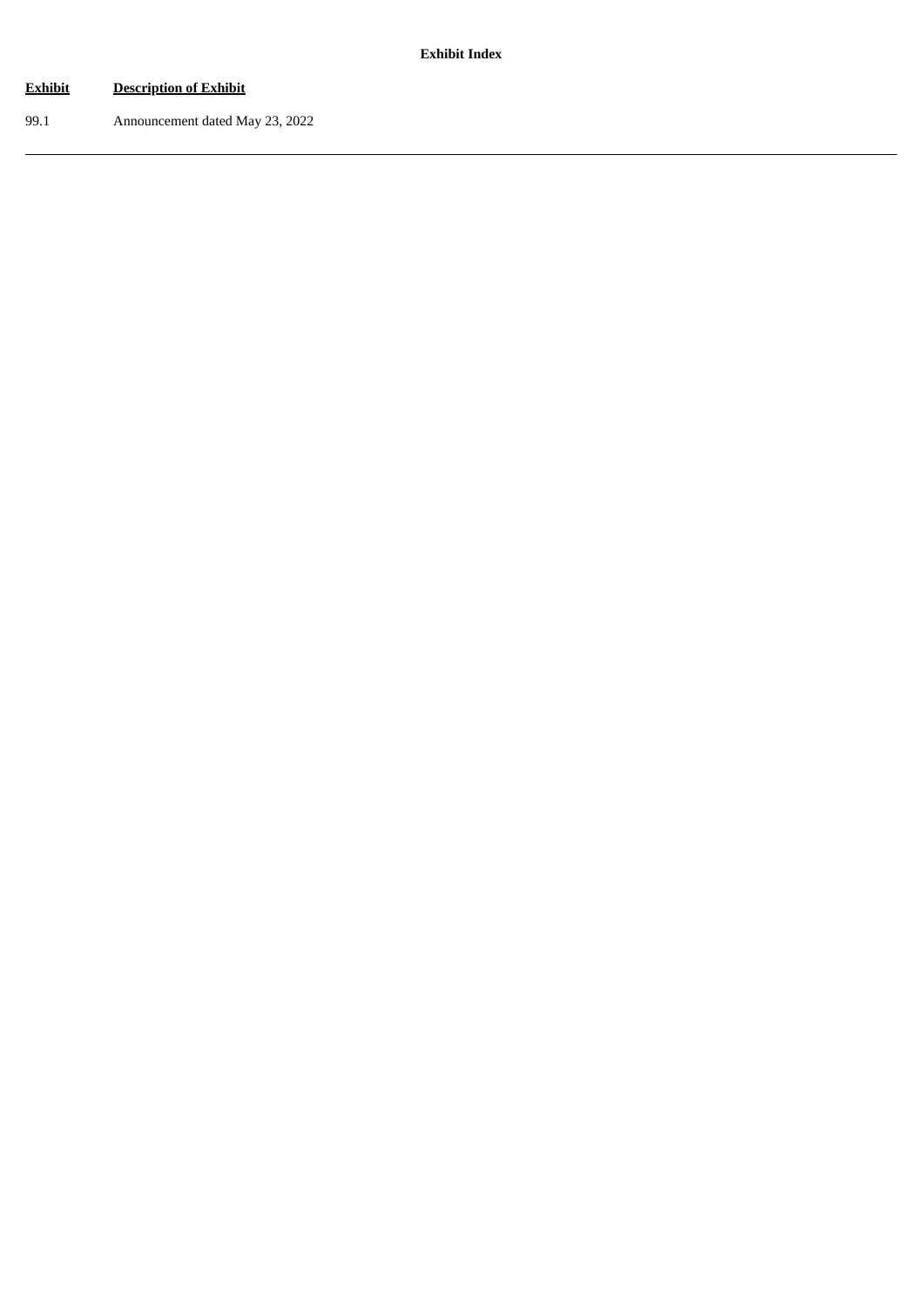# **Exhibit Description of Exhibit**

99.1 Announcement dated May 23, 2022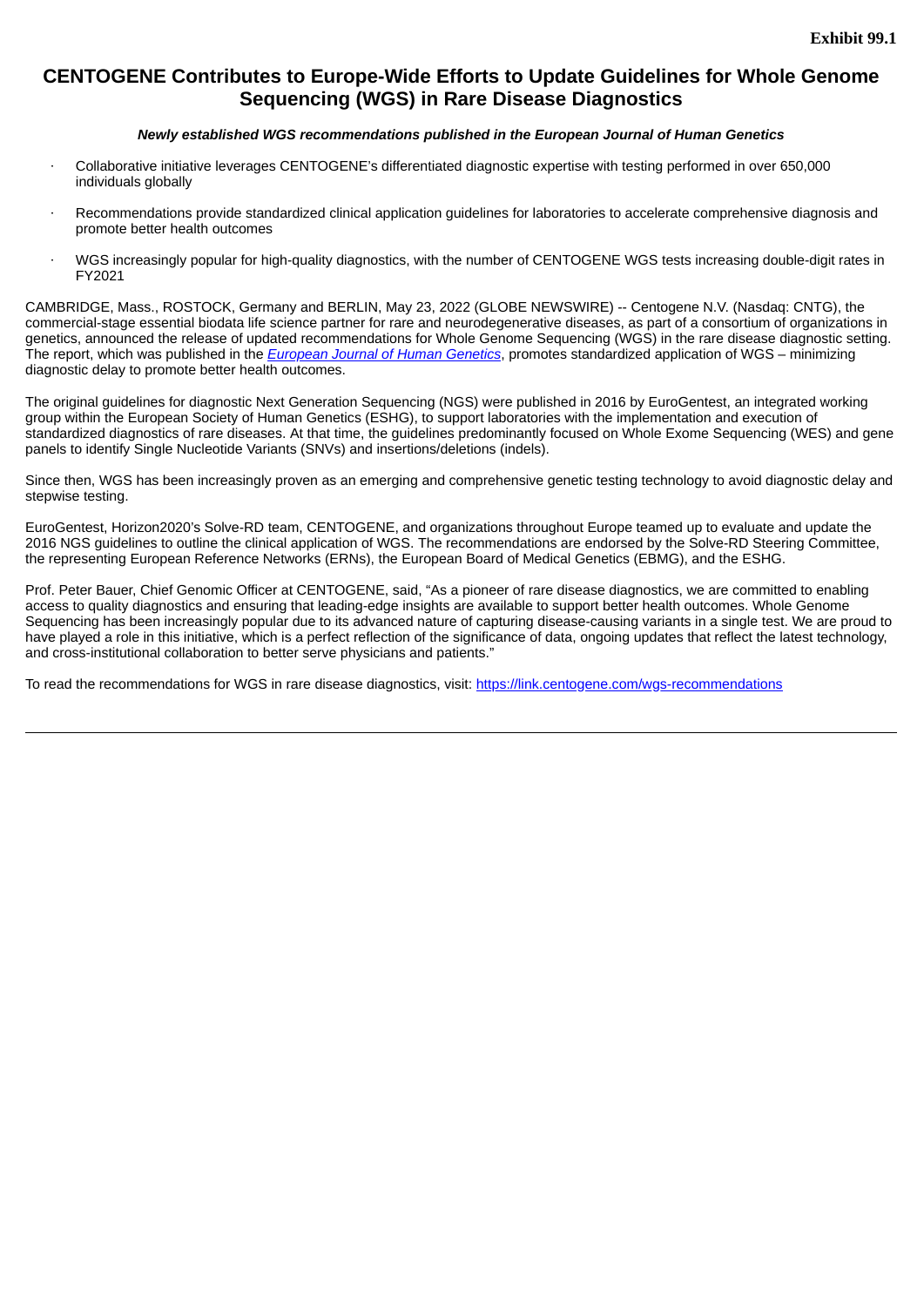## **CENTOGENE Contributes to Europe-Wide Efforts to Update Guidelines for Whole Genome Sequencing (WGS) in Rare Disease Diagnostics**

### *Newly established WGS recommendations published in the European Journal of Human Genetics*

- · Collaborative initiative leverages CENTOGENE's differentiated diagnostic expertise with testing performed in over 650,000 individuals globally
- Recommendations provide standardized clinical application guidelines for laboratories to accelerate comprehensive diagnosis and promote better health outcomes
- WGS increasingly popular for high-quality diagnostics, with the number of CENTOGENE WGS tests increasing double-digit rates in FY2021

CAMBRIDGE, Mass., ROSTOCK, Germany and BERLIN, May 23, 2022 (GLOBE NEWSWIRE) -- Centogene N.V. (Nasdaq: CNTG), the commercial-stage essential biodata life science partner for rare and neurodegenerative diseases, as part of a consortium of organizations in genetics, announced the release of updated recommendations for Whole Genome Sequencing (WGS) in the rare disease diagnostic setting. The report, which was published in the *European Journal of Human Genetics*, promotes standardized application of WGS – minimizing diagnostic delay to promote better health outcomes.

The original guidelines for diagnostic Next Generation Sequencing (NGS) were published in 2016 by EuroGentest, an integrated working group within the European Society of Human Genetics (ESHG), to support laboratories with the implementation and execution of standardized diagnostics of rare diseases. At that time, the guidelines predominantly focused on Whole Exome Sequencing (WES) and gene panels to identify Single Nucleotide Variants (SNVs) and insertions/deletions (indels).

Since then, WGS has been increasingly proven as an emerging and comprehensive genetic testing technology to avoid diagnostic delay and stepwise testing.

EuroGentest, Horizon2020's Solve-RD team, CENTOGENE, and organizations throughout Europe teamed up to evaluate and update the 2016 NGS guidelines to outline the clinical application of WGS. The recommendations are endorsed by the Solve-RD Steering Committee, the representing European Reference Networks (ERNs), the European Board of Medical Genetics (EBMG), and the ESHG.

Prof. Peter Bauer, Chief Genomic Officer at CENTOGENE, said, "As a pioneer of rare disease diagnostics, we are committed to enabling access to quality diagnostics and ensuring that leading-edge insights are available to support better health outcomes. Whole Genome Sequencing has been increasingly popular due to its advanced nature of capturing disease-causing variants in a single test. We are proud to have played a role in this initiative, which is a perfect reflection of the significance of data, ongoing updates that reflect the latest technology, and cross-institutional collaboration to better serve physicians and patients."

To read the recommendations for WGS in rare disease diagnostics, visit: https://link.centogene.com/wgs-recommendations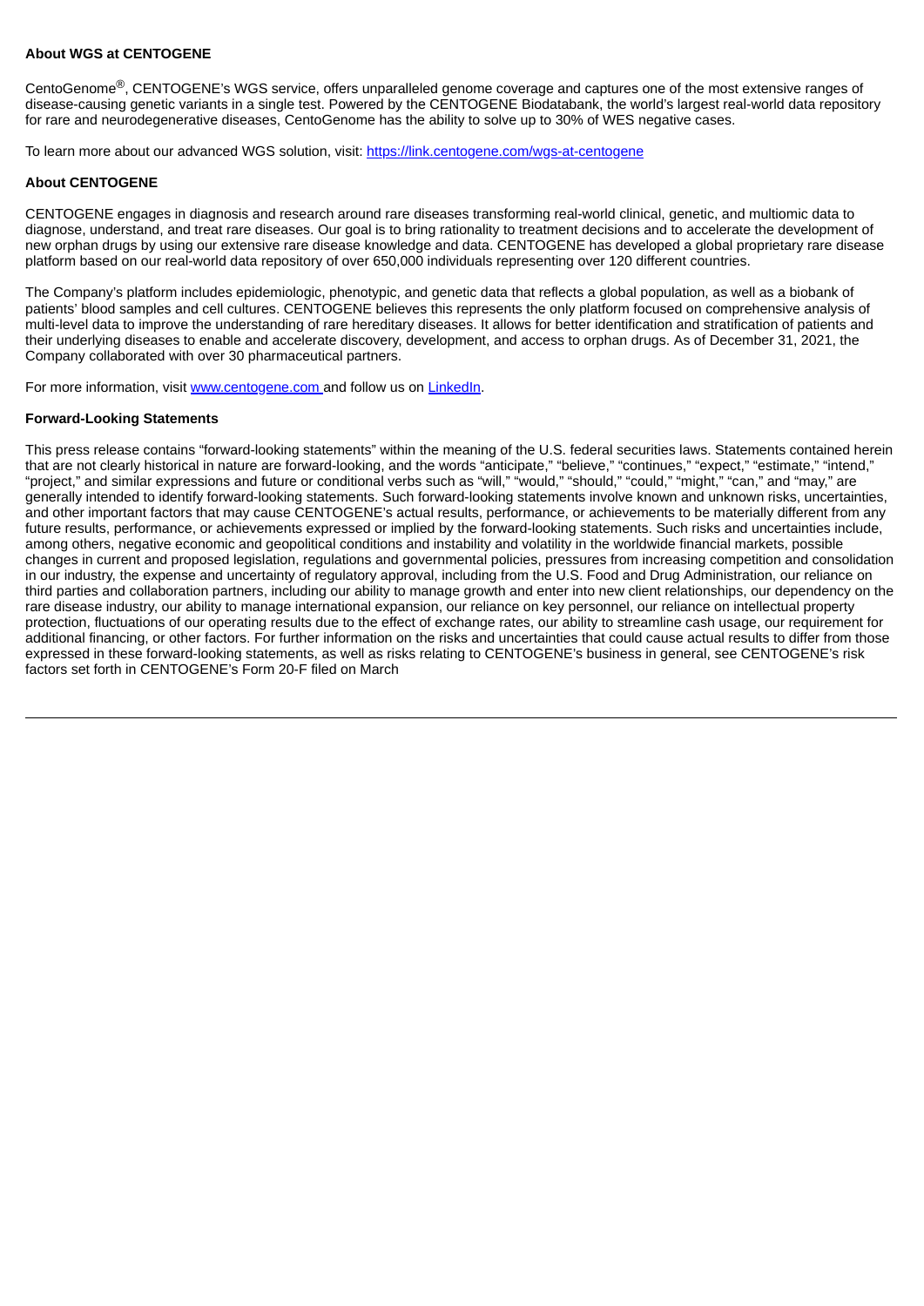### **About WGS at CENTOGENE**

CentoGenome®, CENTOGENE's WGS service, offers unparalleled genome coverage and captures one of the most extensive ranges of disease-causing genetic variants in a single test. Powered by the CENTOGENE Biodatabank, the world's largest real-world data repository for rare and neurodegenerative diseases, CentoGenome has the ability to solve up to 30% of WES negative cases.

To learn more about our advanced WGS solution, visit: https://link.centogene.com/wgs-at-centogene

### **About CENTOGENE**

CENTOGENE engages in diagnosis and research around rare diseases transforming real-world clinical, genetic, and multiomic data to diagnose, understand, and treat rare diseases. Our goal is to bring rationality to treatment decisions and to accelerate the development of new orphan drugs by using our extensive rare disease knowledge and data. CENTOGENE has developed a global proprietary rare disease platform based on our real-world data repository of over 650,000 individuals representing over 120 different countries.

The Company's platform includes epidemiologic, phenotypic, and genetic data that reflects a global population, as well as a biobank of patients' blood samples and cell cultures. CENTOGENE believes this represents the only platform focused on comprehensive analysis of multi-level data to improve the understanding of rare hereditary diseases. It allows for better identification and stratification of patients and their underlying diseases to enable and accelerate discovery, development, and access to orphan drugs. As of December 31, 2021, the Company collaborated with over 30 pharmaceutical partners.

For more information, visit www.centogene.com and follow us on LinkedIn.

### **Forward-Looking Statements**

This press release contains "forward-looking statements" within the meaning of the U.S. federal securities laws. Statements contained herein that are not clearly historical in nature are forward-looking, and the words "anticipate," "believe," "continues," "expect," "estimate," "intend," "project," and similar expressions and future or conditional verbs such as "will," "would," "should," "could," "might," "can," and "may," are generally intended to identify forward-looking statements. Such forward-looking statements involve known and unknown risks, uncertainties, and other important factors that may cause CENTOGENE's actual results, performance, or achievements to be materially different from any future results, performance, or achievements expressed or implied by the forward-looking statements. Such risks and uncertainties include, among others, negative economic and geopolitical conditions and instability and volatility in the worldwide financial markets, possible changes in current and proposed legislation, regulations and governmental policies, pressures from increasing competition and consolidation in our industry, the expense and uncertainty of regulatory approval, including from the U.S. Food and Drug Administration, our reliance on third parties and collaboration partners, including our ability to manage growth and enter into new client relationships, our dependency on the rare disease industry, our ability to manage international expansion, our reliance on key personnel, our reliance on intellectual property protection, fluctuations of our operating results due to the effect of exchange rates, our ability to streamline cash usage, our requirement for additional financing, or other factors. For further information on the risks and uncertainties that could cause actual results to differ from those expressed in these forward-looking statements, as well as risks relating to CENTOGENE's business in general, see CENTOGENE's risk factors set forth in CENTOGENE's Form 20-F filed on March